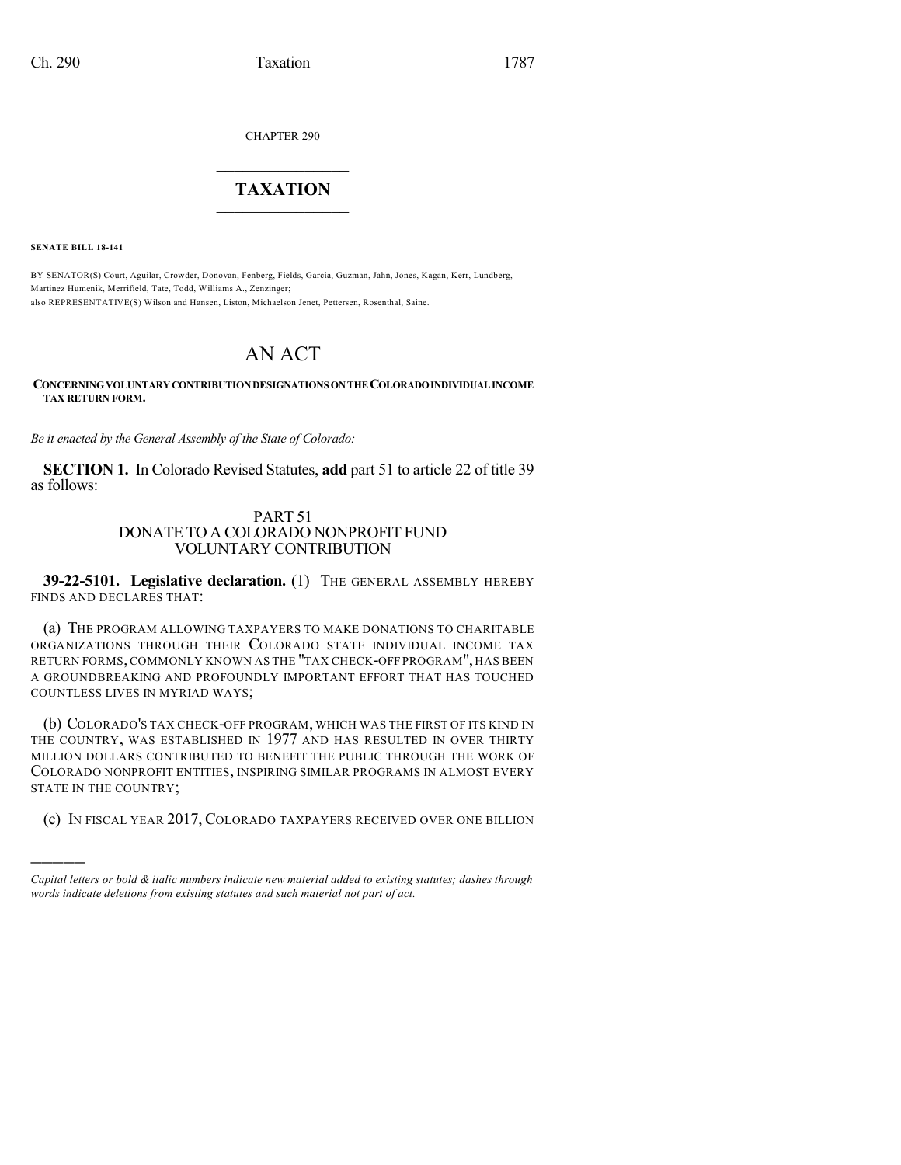CHAPTER 290

# $\mathcal{L}_\text{max}$  . The set of the set of the set of the set of the set of the set of the set of the set of the set of the set of the set of the set of the set of the set of the set of the set of the set of the set of the set **TAXATION**  $\_$

**SENATE BILL 18-141**

)))))

BY SENATOR(S) Court, Aguilar, Crowder, Donovan, Fenberg, Fields, Garcia, Guzman, Jahn, Jones, Kagan, Kerr, Lundberg, Martinez Humenik, Merrifield, Tate, Todd, Williams A., Zenzinger; also REPRESENTATIVE(S) Wilson and Hansen, Liston, Michaelson Jenet, Pettersen, Rosenthal, Saine.

# AN ACT

**CONCERNINGVOLUNTARYCONTRIBUTIONDESIGNATIONS ONTHECOLORADOINDIVIDUALINCOME TAX RETURN FORM.**

*Be it enacted by the General Assembly of the State of Colorado:*

**SECTION 1.** In Colorado Revised Statutes, **add** part 51 to article 22 of title 39 as follows:

## PART 51 DONATE TO A COLORADO NONPROFIT FUND VOLUNTARY CONTRIBUTION

**39-22-5101. Legislative declaration.** (1) THE GENERAL ASSEMBLY HEREBY FINDS AND DECLARES THAT:

(a) THE PROGRAM ALLOWING TAXPAYERS TO MAKE DONATIONS TO CHARITABLE ORGANIZATIONS THROUGH THEIR COLORADO STATE INDIVIDUAL INCOME TAX RETURN FORMS, COMMONLY KNOWN AS THE "TAX CHECK-OFF PROGRAM", HAS BEEN A GROUNDBREAKING AND PROFOUNDLY IMPORTANT EFFORT THAT HAS TOUCHED COUNTLESS LIVES IN MYRIAD WAYS;

(b) COLORADO'S TAX CHECK-OFF PROGRAM, WHICH WAS THE FIRST OF ITS KIND IN THE COUNTRY, WAS ESTABLISHED IN 1977 AND HAS RESULTED IN OVER THIRTY MILLION DOLLARS CONTRIBUTED TO BENEFIT THE PUBLIC THROUGH THE WORK OF COLORADO NONPROFIT ENTITIES, INSPIRING SIMILAR PROGRAMS IN ALMOST EVERY STATE IN THE COUNTRY;

(c) IN FISCAL YEAR 2017, COLORADO TAXPAYERS RECEIVED OVER ONE BILLION

*Capital letters or bold & italic numbers indicate new material added to existing statutes; dashes through words indicate deletions from existing statutes and such material not part of act.*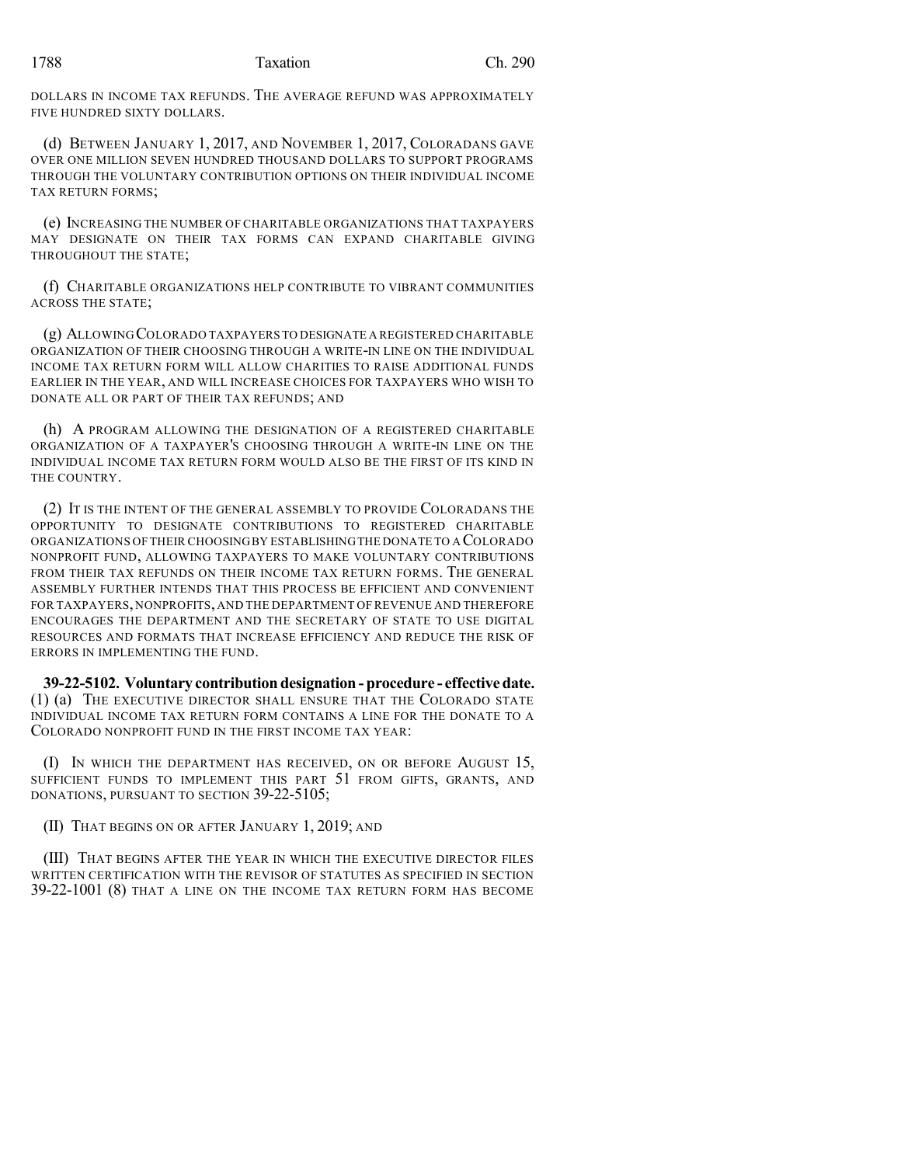DOLLARS IN INCOME TAX REFUNDS. THE AVERAGE REFUND WAS APPROXIMATELY FIVE HUNDRED SIXTY DOLLARS.

(d) BETWEEN JANUARY 1, 2017, AND NOVEMBER 1, 2017, COLORADANS GAVE OVER ONE MILLION SEVEN HUNDRED THOUSAND DOLLARS TO SUPPORT PROGRAMS THROUGH THE VOLUNTARY CONTRIBUTION OPTIONS ON THEIR INDIVIDUAL INCOME TAX RETURN FORMS;

(e) INCREASING THE NUMBER OF CHARITABLE ORGANIZATIONS THAT TAXPAYERS MAY DESIGNATE ON THEIR TAX FORMS CAN EXPAND CHARITABLE GIVING THROUGHOUT THE STATE;

(f) CHARITABLE ORGANIZATIONS HELP CONTRIBUTE TO VIBRANT COMMUNITIES ACROSS THE STATE;

(g) ALLOWINGCOLORADO TAXPAYERS TO DESIGNATE A REGISTERED CHARITABLE ORGANIZATION OF THEIR CHOOSING THROUGH A WRITE-IN LINE ON THE INDIVIDUAL INCOME TAX RETURN FORM WILL ALLOW CHARITIES TO RAISE ADDITIONAL FUNDS EARLIER IN THE YEAR, AND WILL INCREASE CHOICES FOR TAXPAYERS WHO WISH TO DONATE ALL OR PART OF THEIR TAX REFUNDS; AND

(h) A PROGRAM ALLOWING THE DESIGNATION OF A REGISTERED CHARITABLE ORGANIZATION OF A TAXPAYER'S CHOOSING THROUGH A WRITE-IN LINE ON THE INDIVIDUAL INCOME TAX RETURN FORM WOULD ALSO BE THE FIRST OF ITS KIND IN THE COUNTRY.

(2) IT IS THE INTENT OF THE GENERAL ASSEMBLY TO PROVIDE COLORADANS THE OPPORTUNITY TO DESIGNATE CONTRIBUTIONS TO REGISTERED CHARITABLE ORGANIZATIONS OF THEIR CHOOSINGBY ESTABLISHINGTHE DONATE TO A COLORADO NONPROFIT FUND, ALLOWING TAXPAYERS TO MAKE VOLUNTARY CONTRIBUTIONS FROM THEIR TAX REFUNDS ON THEIR INCOME TAX RETURN FORMS. THE GENERAL ASSEMBLY FURTHER INTENDS THAT THIS PROCESS BE EFFICIENT AND CONVENIENT FOR TAXPAYERS, NONPROFITS, AND THE DEPARTMENT OF REVENUE AND THEREFORE ENCOURAGES THE DEPARTMENT AND THE SECRETARY OF STATE TO USE DIGITAL RESOURCES AND FORMATS THAT INCREASE EFFICIENCY AND REDUCE THE RISK OF ERRORS IN IMPLEMENTING THE FUND.

**39-22-5102. Voluntary contribution designation - procedure - effectivedate.** (1) (a) THE EXECUTIVE DIRECTOR SHALL ENSURE THAT THE COLORADO STATE INDIVIDUAL INCOME TAX RETURN FORM CONTAINS A LINE FOR THE DONATE TO A COLORADO NONPROFIT FUND IN THE FIRST INCOME TAX YEAR:

(I) IN WHICH THE DEPARTMENT HAS RECEIVED, ON OR BEFORE AUGUST 15, SUFFICIENT FUNDS TO IMPLEMENT THIS PART 51 FROM GIFTS, GRANTS, AND DONATIONS, PURSUANT TO SECTION 39-22-5105;

(II) THAT BEGINS ON OR AFTER JANUARY 1, 2019; AND

(III) THAT BEGINS AFTER THE YEAR IN WHICH THE EXECUTIVE DIRECTOR FILES WRITTEN CERTIFICATION WITH THE REVISOR OF STATUTES AS SPECIFIED IN SECTION 39-22-1001 (8) THAT A LINE ON THE INCOME TAX RETURN FORM HAS BECOME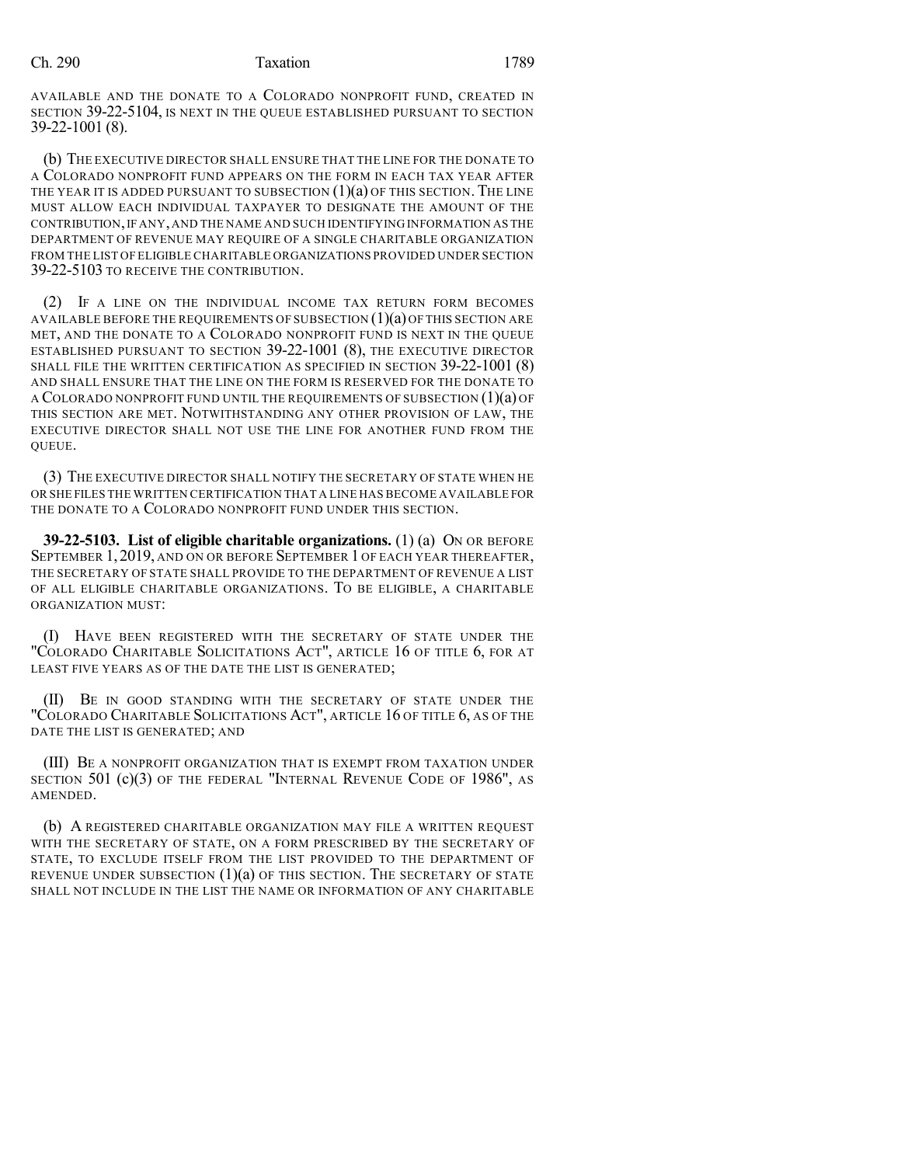### Ch. 290 Taxation 1789

AVAILABLE AND THE DONATE TO A COLORADO NONPROFIT FUND, CREATED IN SECTION 39-22-5104, IS NEXT IN THE QUEUE ESTABLISHED PURSUANT TO SECTION 39-22-1001 (8).

(b) THE EXECUTIVE DIRECTOR SHALL ENSURE THAT THE LINE FOR THE DONATE TO A COLORADO NONPROFIT FUND APPEARS ON THE FORM IN EACH TAX YEAR AFTER THE YEAR IT IS ADDED PURSUANT TO SUBSECTION  $(1)(a)$  of this section. The line MUST ALLOW EACH INDIVIDUAL TAXPAYER TO DESIGNATE THE AMOUNT OF THE CONTRIBUTION,IF ANY,AND THE NAME AND SUCH IDENTIFYING INFORMATION AS THE DEPARTMENT OF REVENUE MAY REQUIRE OF A SINGLE CHARITABLE ORGANIZATION FROM THE LIST OF ELIGIBLE CHARITABLE ORGANIZATIONS PROVIDED UNDER SECTION 39-22-5103 TO RECEIVE THE CONTRIBUTION.

(2) IF A LINE ON THE INDIVIDUAL INCOME TAX RETURN FORM BECOMES AVAILABLE BEFORE THE REQUIREMENTS OF SUBSECTION  $(1)(a)$  of this section are MET, AND THE DONATE TO A COLORADO NONPROFIT FUND IS NEXT IN THE QUEUE ESTABLISHED PURSUANT TO SECTION 39-22-1001 (8), THE EXECUTIVE DIRECTOR SHALL FILE THE WRITTEN CERTIFICATION AS SPECIFIED IN SECTION 39-22-1001 (8) AND SHALL ENSURE THAT THE LINE ON THE FORM IS RESERVED FOR THE DONATE TO A COLORADO NONPROFIT FUND UNTIL THE REQUIREMENTS OF SUBSECTION (1)(a) OF THIS SECTION ARE MET. NOTWITHSTANDING ANY OTHER PROVISION OF LAW, THE EXECUTIVE DIRECTOR SHALL NOT USE THE LINE FOR ANOTHER FUND FROM THE QUEUE.

(3) THE EXECUTIVE DIRECTOR SHALL NOTIFY THE SECRETARY OF STATE WHEN HE OR SHE FILES THE WRITTEN CERTIFICATION THAT A LINE HAS BECOME AVAILABLE FOR THE DONATE TO A COLORADO NONPROFIT FUND UNDER THIS SECTION.

**39-22-5103. List of eligible charitable organizations.** (1) (a) ON OR BEFORE SEPTEMBER 1,2019, AND ON OR BEFORE SEPTEMBER 1 OF EACH YEAR THEREAFTER, THE SECRETARY OF STATE SHALL PROVIDE TO THE DEPARTMENT OF REVENUE A LIST OF ALL ELIGIBLE CHARITABLE ORGANIZATIONS. TO BE ELIGIBLE, A CHARITABLE ORGANIZATION MUST:

(I) HAVE BEEN REGISTERED WITH THE SECRETARY OF STATE UNDER THE "COLORADO CHARITABLE SOLICITATIONS ACT", ARTICLE 16 OF TITLE 6, FOR AT LEAST FIVE YEARS AS OF THE DATE THE LIST IS GENERATED;

(II) BE IN GOOD STANDING WITH THE SECRETARY OF STATE UNDER THE "COLORADO CHARITABLE SOLICITATIONS ACT", ARTICLE 16 OF TITLE 6, AS OF THE DATE THE LIST IS GENERATED; AND

(III) BE A NONPROFIT ORGANIZATION THAT IS EXEMPT FROM TAXATION UNDER SECTION 501 (c)(3) OF THE FEDERAL "INTERNAL REVENUE CODE OF 1986", AS AMENDED.

(b) A REGISTERED CHARITABLE ORGANIZATION MAY FILE A WRITTEN REQUEST WITH THE SECRETARY OF STATE, ON A FORM PRESCRIBED BY THE SECRETARY OF STATE, TO EXCLUDE ITSELF FROM THE LIST PROVIDED TO THE DEPARTMENT OF REVENUE UNDER SUBSECTION  $(1)(a)$  of this section. The secretary of state SHALL NOT INCLUDE IN THE LIST THE NAME OR INFORMATION OF ANY CHARITABLE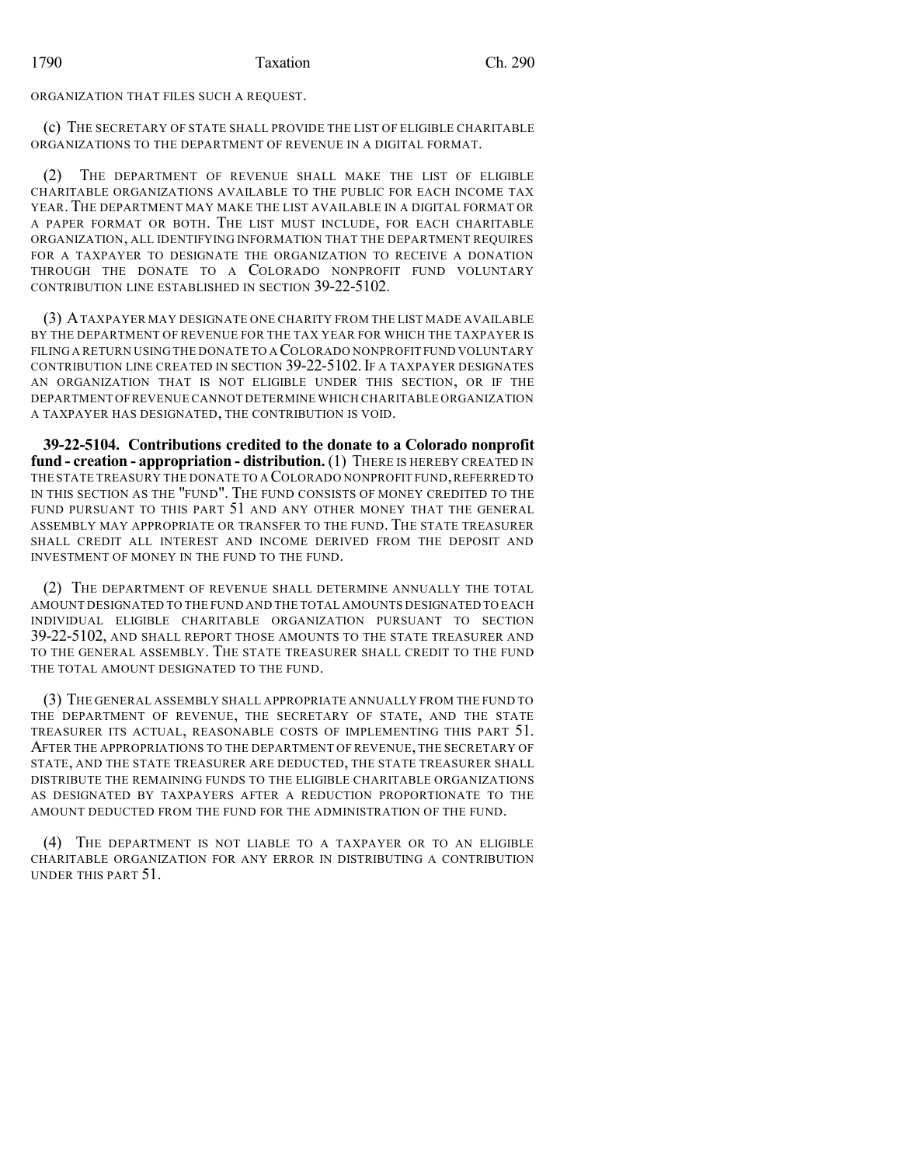ORGANIZATION THAT FILES SUCH A REQUEST.

(c) THE SECRETARY OF STATE SHALL PROVIDE THE LIST OF ELIGIBLE CHARITABLE ORGANIZATIONS TO THE DEPARTMENT OF REVENUE IN A DIGITAL FORMAT.

(2) THE DEPARTMENT OF REVENUE SHALL MAKE THE LIST OF ELIGIBLE CHARITABLE ORGANIZATIONS AVAILABLE TO THE PUBLIC FOR EACH INCOME TAX YEAR.THE DEPARTMENT MAY MAKE THE LIST AVAILABLE IN A DIGITAL FORMAT OR A PAPER FORMAT OR BOTH. THE LIST MUST INCLUDE, FOR EACH CHARITABLE ORGANIZATION, ALL IDENTIFYING INFORMATION THAT THE DEPARTMENT REQUIRES FOR A TAXPAYER TO DESIGNATE THE ORGANIZATION TO RECEIVE A DONATION THROUGH THE DONATE TO A COLORADO NONPROFIT FUND VOLUNTARY CONTRIBUTION LINE ESTABLISHED IN SECTION 39-22-5102.

(3) ATAXPAYER MAY DESIGNATE ONE CHARITY FROM THE LIST MADE AVAILABLE BY THE DEPARTMENT OF REVENUE FOR THE TAX YEAR FOR WHICH THE TAXPAYER IS FILING A RETURN USING THE DONATE TO A COLORADO NONPROFIT FUND VOLUNTARY CONTRIBUTION LINE CREATED IN SECTION 39-22-5102. IF A TAXPAYER DESIGNATES AN ORGANIZATION THAT IS NOT ELIGIBLE UNDER THIS SECTION, OR IF THE DEPARTMENT OFREVENUE CANNOT DETERMINE WHICH CHARITABLE ORGANIZATION A TAXPAYER HAS DESIGNATED, THE CONTRIBUTION IS VOID.

**39-22-5104. Contributions credited to the donate to a Colorado nonprofit fund - creation - appropriation - distribution.** (1) THERE IS HEREBY CREATED IN THE STATE TREASURY THE DONATE TO A COLORADO NONPROFIT FUND,REFERRED TO IN THIS SECTION AS THE "FUND". THE FUND CONSISTS OF MONEY CREDITED TO THE FUND PURSUANT TO THIS PART 51 AND ANY OTHER MONEY THAT THE GENERAL ASSEMBLY MAY APPROPRIATE OR TRANSFER TO THE FUND. THE STATE TREASURER SHALL CREDIT ALL INTEREST AND INCOME DERIVED FROM THE DEPOSIT AND INVESTMENT OF MONEY IN THE FUND TO THE FUND.

(2) THE DEPARTMENT OF REVENUE SHALL DETERMINE ANNUALLY THE TOTAL AMOUNT DESIGNATED TO THE FUND AND THE TOTAL AMOUNTS DESIGNATED TO EACH INDIVIDUAL ELIGIBLE CHARITABLE ORGANIZATION PURSUANT TO SECTION 39-22-5102, AND SHALL REPORT THOSE AMOUNTS TO THE STATE TREASURER AND TO THE GENERAL ASSEMBLY. THE STATE TREASURER SHALL CREDIT TO THE FUND THE TOTAL AMOUNT DESIGNATED TO THE FUND.

(3) THE GENERAL ASSEMBLY SHALL APPROPRIATE ANNUALLY FROM THE FUND TO THE DEPARTMENT OF REVENUE, THE SECRETARY OF STATE, AND THE STATE TREASURER ITS ACTUAL, REASONABLE COSTS OF IMPLEMENTING THIS PART 51. AFTER THE APPROPRIATIONS TO THE DEPARTMENT OF REVENUE, THE SECRETARY OF STATE, AND THE STATE TREASURER ARE DEDUCTED, THE STATE TREASURER SHALL DISTRIBUTE THE REMAINING FUNDS TO THE ELIGIBLE CHARITABLE ORGANIZATIONS AS DESIGNATED BY TAXPAYERS AFTER A REDUCTION PROPORTIONATE TO THE AMOUNT DEDUCTED FROM THE FUND FOR THE ADMINISTRATION OF THE FUND.

(4) THE DEPARTMENT IS NOT LIABLE TO A TAXPAYER OR TO AN ELIGIBLE CHARITABLE ORGANIZATION FOR ANY ERROR IN DISTRIBUTING A CONTRIBUTION UNDER THIS PART 51.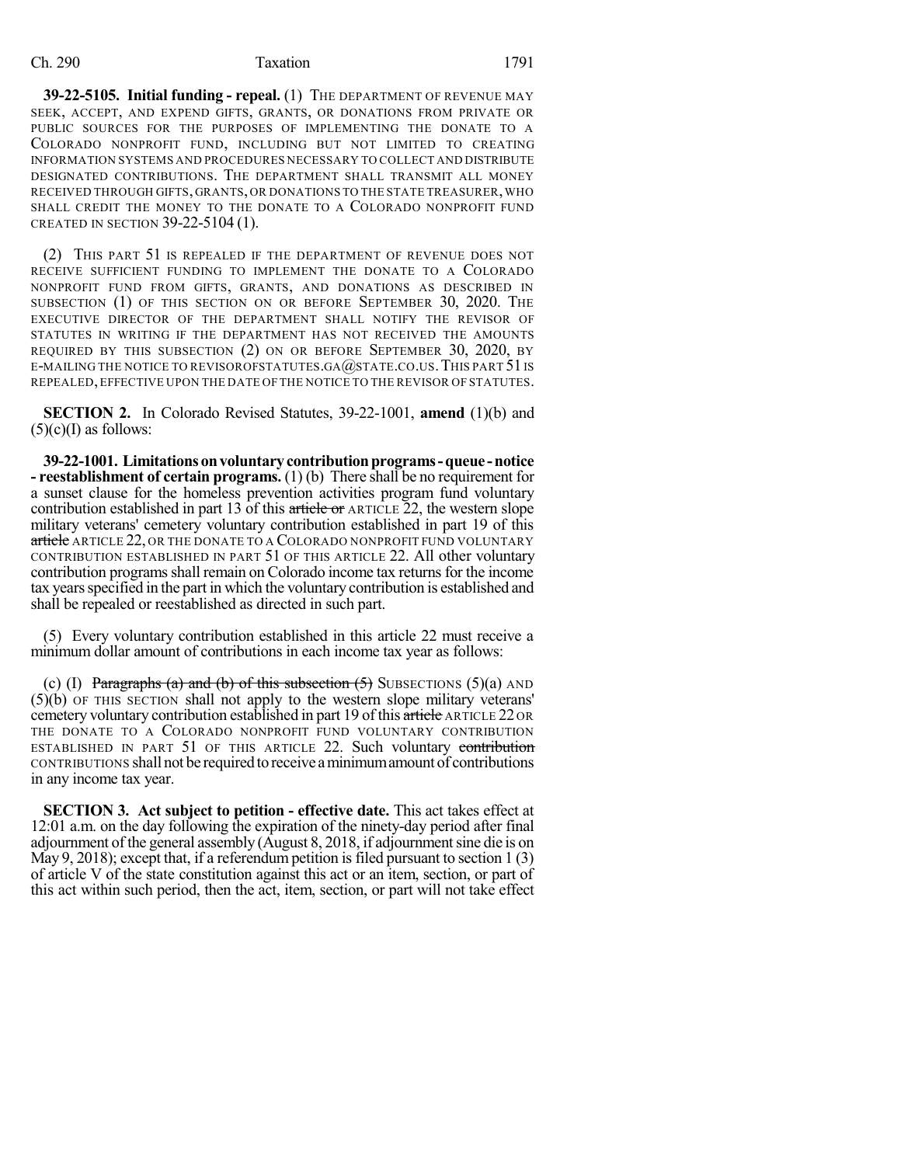### Ch. 290 Taxation 1791

**39-22-5105. Initial funding - repeal.** (1) THE DEPARTMENT OF REVENUE MAY SEEK, ACCEPT, AND EXPEND GIFTS, GRANTS, OR DONATIONS FROM PRIVATE OR PUBLIC SOURCES FOR THE PURPOSES OF IMPLEMENTING THE DONATE TO A COLORADO NONPROFIT FUND, INCLUDING BUT NOT LIMITED TO CREATING INFORMATION SYSTEMS AND PROCEDURES NECESSARY TO COLLECT AND DISTRIBUTE DESIGNATED CONTRIBUTIONS. THE DEPARTMENT SHALL TRANSMIT ALL MONEY RECEIVED THROUGH GIFTS, GRANTS, OR DONATIONS TO THE STATE TREASURER, WHO SHALL CREDIT THE MONEY TO THE DONATE TO A COLORADO NONPROFIT FUND CREATED IN SECTION 39-22-5104 (1).

(2) THIS PART 51 IS REPEALED IF THE DEPARTMENT OF REVENUE DOES NOT RECEIVE SUFFICIENT FUNDING TO IMPLEMENT THE DONATE TO A COLORADO NONPROFIT FUND FROM GIFTS, GRANTS, AND DONATIONS AS DESCRIBED IN SUBSECTION (1) OF THIS SECTION ON OR BEFORE SEPTEMBER 30, 2020. THE EXECUTIVE DIRECTOR OF THE DEPARTMENT SHALL NOTIFY THE REVISOR OF STATUTES IN WRITING IF THE DEPARTMENT HAS NOT RECEIVED THE AMOUNTS REQUIRED BY THIS SUBSECTION (2) ON OR BEFORE SEPTEMBER 30, 2020, BY E-MAILING THE NOTICE TO REVISOROFSTATUTES.GA $@$ STATE.CO.US. THIS PART 51 IS REPEALED,EFFECTIVE UPON THE DATE OF THE NOTICE TO THE REVISOR OF STATUTES.

**SECTION 2.** In Colorado Revised Statutes, 39-22-1001, **amend** (1)(b) and  $(5)(c)(I)$  as follows:

**39-22-1001. Limitationsonvoluntarycontributionprograms-queue -notice - reestablishment of certain programs.** (1) (b) There shall be no requirement for a sunset clause for the homeless prevention activities program fund voluntary contribution established in part 13 of this article or ARTICLE 22, the western slope military veterans' cemetery voluntary contribution established in part 19 of this article ARTICLE 22, OR THE DONATE TO A COLORADO NONPROFIT FUND VOLUNTARY CONTRIBUTION ESTABLISHED IN PART 51 OF THIS ARTICLE 22. All other voluntary contribution programs shall remain on Colorado income tax returns for the income tax years specified in the part in which the voluntary contribution is established and shall be repealed or reestablished as directed in such part.

(5) Every voluntary contribution established in this article 22 must receive a minimum dollar amount of contributions in each income tax year as follows:

(c) (I) Paragraphs (a) and (b) of this subsection  $(5)$  SUBSECTIONS  $(5)(a)$  AND (5)(b) OF THIS SECTION shall not apply to the western slope military veterans' cemetery voluntary contribution established in part 19 of this article ARTICLE 22 OR THE DONATE TO A COLORADO NONPROFIT FUND VOLUNTARY CONTRIBUTION ESTABLISHED IN PART 51 OF THIS ARTICLE 22. Such voluntary contribution CONTRIBUTIONS shall not be required to receive a minimum amount of contributions in any income tax year.

**SECTION 3. Act subject to petition - effective date.** This act takes effect at 12:01 a.m. on the day following the expiration of the ninety-day period after final adjournment of the general assembly (August 8, 2018, if adjournmentsine die is on May 9, 2018); except that, if a referendum petition is filed pursuant to section  $1(3)$ of article V of the state constitution against this act or an item, section, or part of this act within such period, then the act, item, section, or part will not take effect